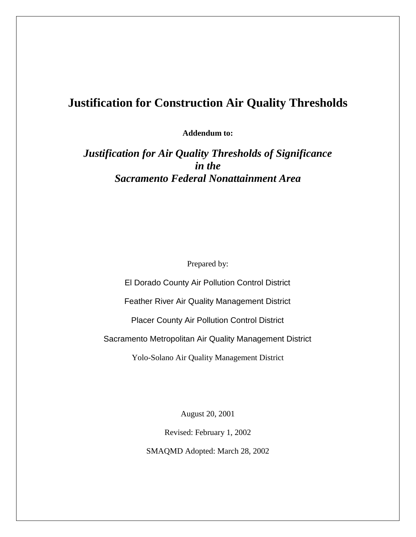# **Justification for Construction Air Quality Thresholds**

**Addendum to:**

*Justification for Air Quality Thresholds of Significance in the Sacramento Federal Nonattainment Area*

Prepared by:

El Dorado County Air Pollution Control District Feather River Air Quality Management District Placer County Air Pollution Control District Sacramento Metropolitan Air Quality Management District Yolo-Solano Air Quality Management District

August 20, 2001

Revised: February 1, 2002 SMAQMD Adopted: March 28, 2002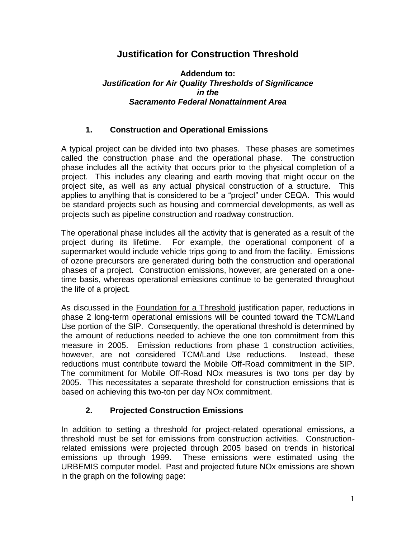## **Justification for Construction Threshold**

#### **Addendum to:** *Justification for Air Quality Thresholds of Significance in the Sacramento Federal Nonattainment Area*

### **1. Construction and Operational Emissions**

A typical project can be divided into two phases. These phases are sometimes called the construction phase and the operational phase. The construction phase includes all the activity that occurs prior to the physical completion of a project. This includes any clearing and earth moving that might occur on the project site, as well as any actual physical construction of a structure. This applies to anything that is considered to be a "project" under CEQA. This would be standard projects such as housing and commercial developments, as well as projects such as pipeline construction and roadway construction.

The operational phase includes all the activity that is generated as a result of the project during its lifetime. For example, the operational component of a supermarket would include vehicle trips going to and from the facility. Emissions of ozone precursors are generated during both the construction and operational phases of a project. Construction emissions, however, are generated on a onetime basis, whereas operational emissions continue to be generated throughout the life of a project.

As discussed in the Foundation for a Threshold justification paper, reductions in phase 2 long-term operational emissions will be counted toward the TCM/Land Use portion of the SIP. Consequently, the operational threshold is determined by the amount of reductions needed to achieve the one ton commitment from this measure in 2005. Emission reductions from phase 1 construction activities, however, are not considered TCM/Land Use reductions. Instead, these reductions must contribute toward the Mobile Off-Road commitment in the SIP. The commitment for Mobile Off-Road NOx measures is two tons per day by 2005. This necessitates a separate threshold for construction emissions that is based on achieving this two-ton per day NOx commitment.

## **2. Projected Construction Emissions**

In addition to setting a threshold for project-related operational emissions, a threshold must be set for emissions from construction activities. Constructionrelated emissions were projected through 2005 based on trends in historical emissions up through 1999. These emissions were estimated using the URBEMIS computer model. Past and projected future NOx emissions are shown in the graph on the following page: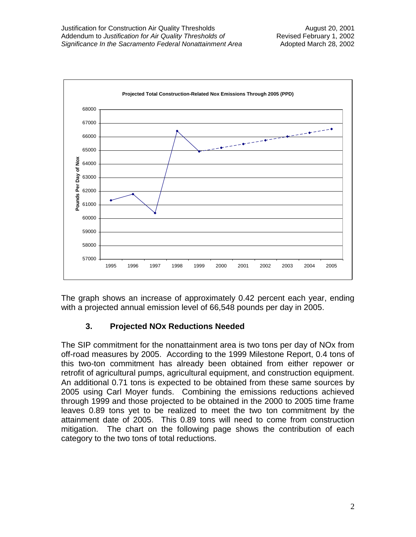

The graph shows an increase of approximately 0.42 percent each year, ending with a projected annual emission level of 66,548 pounds per day in 2005.

## **3. Projected NOx Reductions Needed**

The SIP commitment for the nonattainment area is two tons per day of NOx from off-road measures by 2005. According to the 1999 Milestone Report, 0.4 tons of this two-ton commitment has already been obtained from either repower or retrofit of agricultural pumps, agricultural equipment, and construction equipment. An additional 0.71 tons is expected to be obtained from these same sources by 2005 using Carl Moyer funds. Combining the emissions reductions achieved through 1999 and those projected to be obtained in the 2000 to 2005 time frame leaves 0.89 tons yet to be realized to meet the two ton commitment by the attainment date of 2005. This 0.89 tons will need to come from construction mitigation. The chart on the following page shows the contribution of each category to the two tons of total reductions.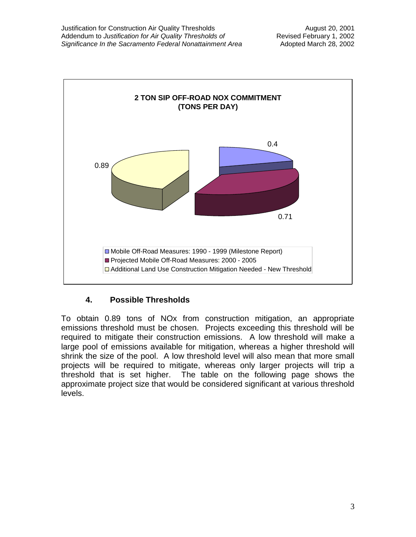

## **4. Possible Thresholds**

To obtain 0.89 tons of NOx from construction mitigation, an appropriate emissions threshold must be chosen. Projects exceeding this threshold will be required to mitigate their construction emissions. A low threshold will make a large pool of emissions available for mitigation, whereas a higher threshold will shrink the size of the pool. A low threshold level will also mean that more small projects will be required to mitigate, whereas only larger projects will trip a threshold that is set higher. The table on the following page shows the approximate project size that would be considered significant at various threshold levels.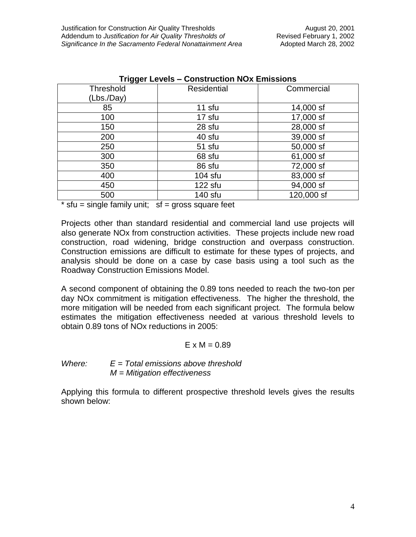| Trigger Levels – Construction NOx Emissions |                    |            |  |
|---------------------------------------------|--------------------|------------|--|
| <b>Threshold</b>                            | <b>Residential</b> | Commercial |  |
| (Lbs./Day)                                  |                    |            |  |
| 85                                          | 11 sfu             | 14,000 sf  |  |
| 100                                         | 17 sfu             | 17,000 sf  |  |
| 150                                         | 28 sfu             | 28,000 sf  |  |
| 200                                         | 40 sfu             | 39,000 sf  |  |
| 250                                         | 51 sfu             | 50,000 sf  |  |
| 300                                         | 68 sfu             | 61,000 sf  |  |
| 350                                         | 86 sfu             | 72,000 sf  |  |
| 400                                         | $104$ sfu          | 83,000 sf  |  |
| 450                                         | $122$ sfu          | 94,000 sf  |  |
| 500                                         | 140 sfu            | 120,000 sf |  |

 $*$  sfu = single family unit;  $sf = gross square feet$ 

Projects other than standard residential and commercial land use projects will also generate NOx from construction activities. These projects include new road construction, road widening, bridge construction and overpass construction. Construction emissions are difficult to estimate for these types of projects, and analysis should be done on a case by case basis using a tool such as the Roadway Construction Emissions Model.

A second component of obtaining the 0.89 tons needed to reach the two-ton per day NOx commitment is mitigation effectiveness. The higher the threshold, the more mitigation will be needed from each significant project. The formula below estimates the mitigation effectiveness needed at various threshold levels to obtain 0.89 tons of NOx reductions in 2005:

#### $E \times M = 0.89$

#### *Where: E = Total emissions above threshold M = Mitigation effectiveness*

Applying this formula to different prospective threshold levels gives the results shown below: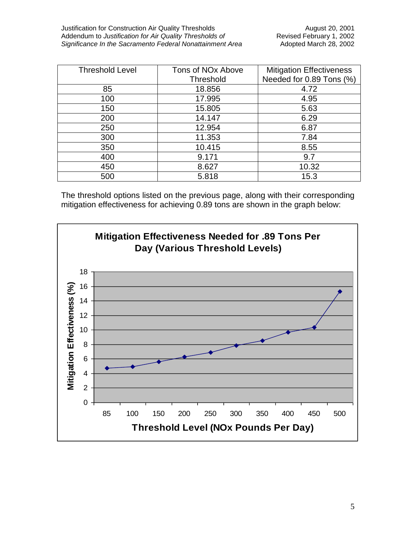| <b>Threshold Level</b> | Tons of NO <sub>x</sub> Above | <b>Mitigation Effectiveness</b> |
|------------------------|-------------------------------|---------------------------------|
|                        | <b>Threshold</b>              | Needed for 0.89 Tons (%)        |
| 85                     | 18.856                        | 4.72                            |
| 100                    | 17.995                        | 4.95                            |
| 150                    | 15.805                        | 5.63                            |
| 200                    | 14.147                        | 6.29                            |
| 250                    | 12.954                        | 6.87                            |
| 300                    | 11.353                        | 7.84                            |
| 350                    | 10.415                        | 8.55                            |
| 400                    | 9.171                         | 9.7                             |
| 450                    | 8.627                         | 10.32                           |
| 500                    | 5.818                         | 15.3                            |

The threshold options listed on the previous page, along with their corresponding mitigation effectiveness for achieving 0.89 tons are shown in the graph below: